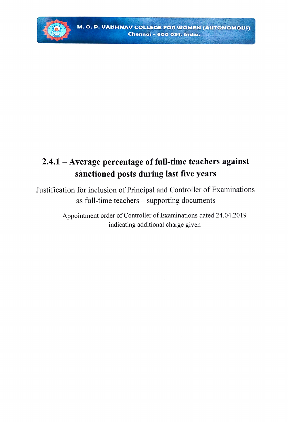

## 2.4.1- Average percentage of full-time teachers against sanctioned posts during last five years

Justification for inclusion of Principal and Controller of Examinations as full-time teachers - supporting documents

> Appointment order of Controller of Examinations dated 24.04.2019 indicating additional charge given